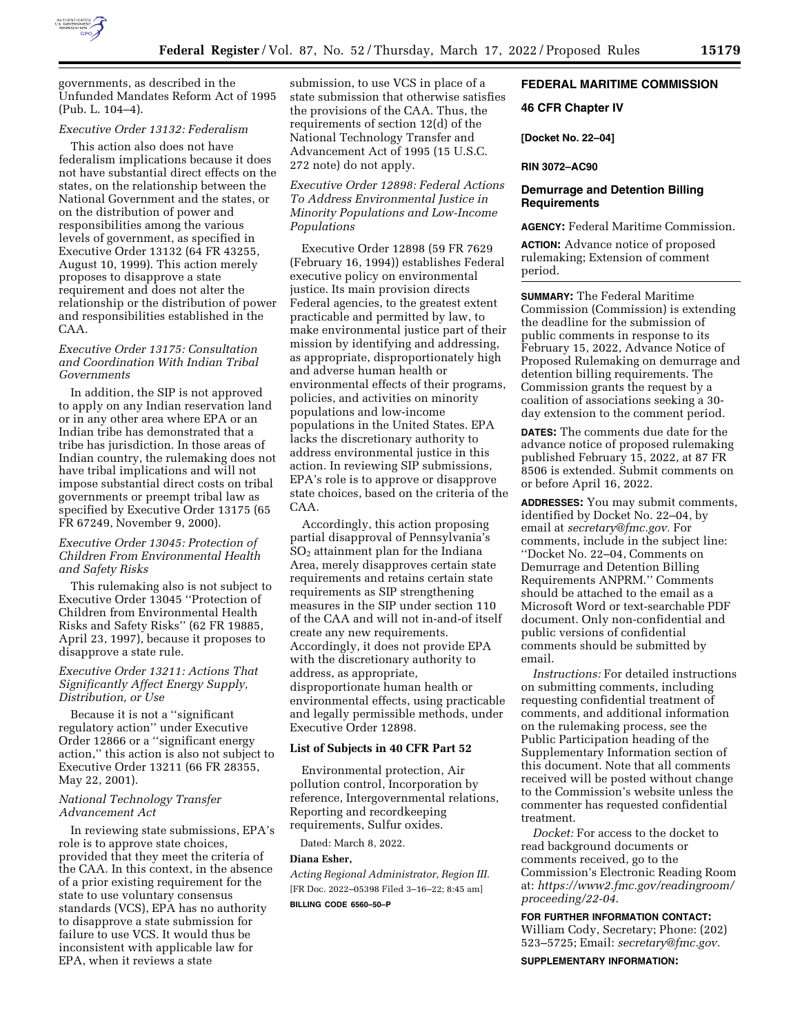

governments, as described in the Unfunded Mandates Reform Act of 1995 (Pub. L. 104–4).

## *Executive Order 13132: Federalism*

This action also does not have federalism implications because it does not have substantial direct effects on the states, on the relationship between the National Government and the states, or on the distribution of power and responsibilities among the various levels of government, as specified in Executive Order 13132 (64 FR 43255, August 10, 1999). This action merely proposes to disapprove a state requirement and does not alter the relationship or the distribution of power and responsibilities established in the CAA.

### *Executive Order 13175: Consultation and Coordination With Indian Tribal Governments*

In addition, the SIP is not approved to apply on any Indian reservation land or in any other area where EPA or an Indian tribe has demonstrated that a tribe has jurisdiction. In those areas of Indian country, the rulemaking does not have tribal implications and will not impose substantial direct costs on tribal governments or preempt tribal law as specified by Executive Order 13175 (65 FR 67249, November 9, 2000).

### *Executive Order 13045: Protection of Children From Environmental Health and Safety Risks*

This rulemaking also is not subject to Executive Order 13045 ''Protection of Children from Environmental Health Risks and Safety Risks'' (62 FR 19885, April 23, 1997), because it proposes to disapprove a state rule.

### *Executive Order 13211: Actions That Significantly Affect Energy Supply, Distribution, or Use*

Because it is not a ''significant regulatory action'' under Executive Order 12866 or a ''significant energy action,'' this action is also not subject to Executive Order 13211 (66 FR 28355, May 22, 2001).

#### *National Technology Transfer Advancement Act*

In reviewing state submissions, EPA's role is to approve state choices, provided that they meet the criteria of the CAA. In this context, in the absence of a prior existing requirement for the state to use voluntary consensus standards (VCS), EPA has no authority to disapprove a state submission for failure to use VCS. It would thus be inconsistent with applicable law for EPA, when it reviews a state

submission, to use VCS in place of a state submission that otherwise satisfies the provisions of the CAA. Thus, the requirements of section 12(d) of the National Technology Transfer and Advancement Act of 1995 (15 U.S.C. 272 note) do not apply.

*Executive Order 12898: Federal Actions To Address Environmental Justice in Minority Populations and Low-Income Populations* 

Executive Order 12898 (59 FR 7629 (February 16, 1994)) establishes Federal executive policy on environmental justice. Its main provision directs Federal agencies, to the greatest extent practicable and permitted by law, to make environmental justice part of their mission by identifying and addressing, as appropriate, disproportionately high and adverse human health or environmental effects of their programs, policies, and activities on minority populations and low-income populations in the United States. EPA lacks the discretionary authority to address environmental justice in this action. In reviewing SIP submissions, EPA's role is to approve or disapprove state choices, based on the criteria of the CAA.

Accordingly, this action proposing partial disapproval of Pennsylvania's  $SO<sub>2</sub>$  attainment plan for the Indiana Area, merely disapproves certain state requirements and retains certain state requirements as SIP strengthening measures in the SIP under section 110 of the CAA and will not in-and-of itself create any new requirements. Accordingly, it does not provide EPA with the discretionary authority to address, as appropriate, disproportionate human health or environmental effects, using practicable and legally permissible methods, under Executive Order 12898.

### **List of Subjects in 40 CFR Part 52**

Environmental protection, Air pollution control, Incorporation by reference, Intergovernmental relations, Reporting and recordkeeping requirements, Sulfur oxides.

Dated: March 8, 2022.

# **Diana Esher,**

*Acting Regional Administrator, Region III.*  [FR Doc. 2022–05398 Filed 3–16–22; 8:45 am]

#### **BILLING CODE 6560–50–P**

# **FEDERAL MARITIME COMMISSION**

#### **46 CFR Chapter IV**

**[Docket No. 22–04]** 

**RIN 3072–AC90** 

# **Demurrage and Detention Billing Requirements**

**AGENCY:** Federal Maritime Commission.

**ACTION:** Advance notice of proposed rulemaking; Extension of comment period.

**SUMMARY:** The Federal Maritime Commission (Commission) is extending the deadline for the submission of public comments in response to its February 15, 2022, Advance Notice of Proposed Rulemaking on demurrage and detention billing requirements. The Commission grants the request by a coalition of associations seeking a 30 day extension to the comment period.

**DATES:** The comments due date for the advance notice of proposed rulemaking published February 15, 2022, at 87 FR 8506 is extended. Submit comments on or before April 16, 2022.

**ADDRESSES:** You may submit comments, identified by Docket No. 22–04, by email at *[secretary@fmc.gov.](mailto:secretary@fmc.gov)* For comments, include in the subject line: ''Docket No. 22–04, Comments on Demurrage and Detention Billing Requirements ANPRM.'' Comments should be attached to the email as a Microsoft Word or text-searchable PDF document. Only non-confidential and public versions of confidential comments should be submitted by email.

*Instructions:* For detailed instructions on submitting comments, including requesting confidential treatment of comments, and additional information on the rulemaking process, see the Public Participation heading of the Supplementary Information section of this document. Note that all comments received will be posted without change to the Commission's website unless the commenter has requested confidential treatment.

*Docket:* For access to the docket to read background documents or comments received, go to the Commission's Electronic Reading Room at: *[https://www2.fmc.gov/readingroom/](https://www2.fmc.gov/readingroom/proceeding/22-04) [proceeding/22-04](https://www2.fmc.gov/readingroom/proceeding/22-04)*.

**FOR FURTHER INFORMATION CONTACT:**  William Cody, Secretary; Phone: (202) 523–5725; Email: *[secretary@fmc.gov.](mailto:secretary@fmc.gov)* 

**SUPPLEMENTARY INFORMATION:**